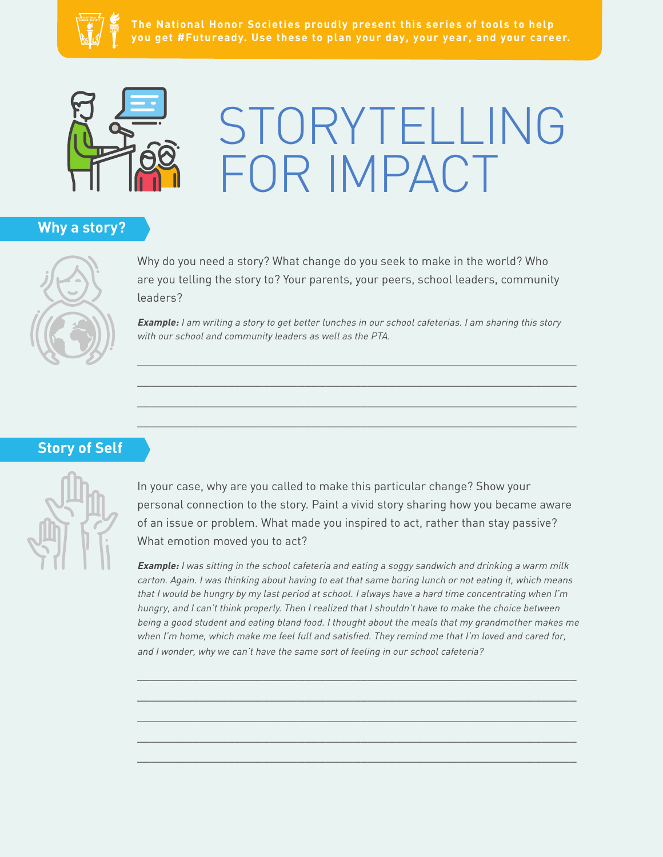



# STORYTELLING FOR IMPACT

## **Why a story?**



Why do you need a story? What change do you seek to make in the world? Who are you telling the story to? Your parents, your peers, school leaders, community leaders?

**Example:** I am writing a story to get better lunches in our school cafeterias. I am sharing this story with our school and community leaders as well as the PTA.

 $\_$  , and the set of the set of the set of the set of the set of the set of the set of the set of the set of the set of the set of the set of the set of the set of the set of the set of the set of the set of the set of th  $\_$  , and the set of the set of the set of the set of the set of the set of the set of the set of the set of the set of the set of the set of the set of the set of the set of the set of the set of the set of the set of th \_\_\_\_\_\_\_\_\_\_\_\_\_\_\_\_\_\_\_\_\_\_\_\_\_\_\_\_\_\_\_\_\_\_\_\_\_\_\_\_\_\_\_\_\_\_\_\_\_\_\_\_\_\_\_\_\_\_\_\_\_\_\_  $\_$  , and the set of the set of the set of the set of the set of the set of the set of the set of the set of the set of the set of the set of the set of the set of the set of the set of the set of the set of the set of th

# **Story of Self**



In your case, why are you called to make this particular change? Show your personal connection to the story. Paint a vivid story sharing how you became aware of an issue or problem. What made you inspired to act, rather than stay passive? What emotion moved you to act?

**Example:** I was sitting in the school cafeteria and eating a soggy sandwich and drinking a warm milk carton. Again. I was thinking about having to eat that same boring lunch or not eating it, which means that I would be hungry by my last period at school. I always have a hard time concentrating when I'm hungry, and I can't think properly. Then I realized that I shouldn't have to make the choice between being a good student and eating bland food. I thought about the meals that my grandmother makes me when I'm home, which make me feel full and satisfied. They remind me that I'm loved and cared for, and I wonder, why we can't have the same sort of feeling in our school cafeteria?

 $\_$  , and the set of the set of the set of the set of the set of the set of the set of the set of the set of the set of the set of the set of the set of the set of the set of the set of the set of the set of the set of th \_\_\_\_\_\_\_\_\_\_\_\_\_\_\_\_\_\_\_\_\_\_\_\_\_\_\_\_\_\_\_\_\_\_\_\_\_\_\_\_\_\_\_\_\_\_\_\_\_\_\_\_\_\_\_\_\_\_\_\_\_\_\_  $\_$  , and the set of the set of the set of the set of the set of the set of the set of the set of the set of the set of the set of the set of the set of the set of the set of the set of the set of the set of the set of th \_\_\_\_\_\_\_\_\_\_\_\_\_\_\_\_\_\_\_\_\_\_\_\_\_\_\_\_\_\_\_\_\_\_\_\_\_\_\_\_\_\_\_\_\_\_\_\_\_\_\_\_\_\_\_\_\_\_\_\_\_\_\_ \_\_\_\_\_\_\_\_\_\_\_\_\_\_\_\_\_\_\_\_\_\_\_\_\_\_\_\_\_\_\_\_\_\_\_\_\_\_\_\_\_\_\_\_\_\_\_\_\_\_\_\_\_\_\_\_\_\_\_\_\_\_\_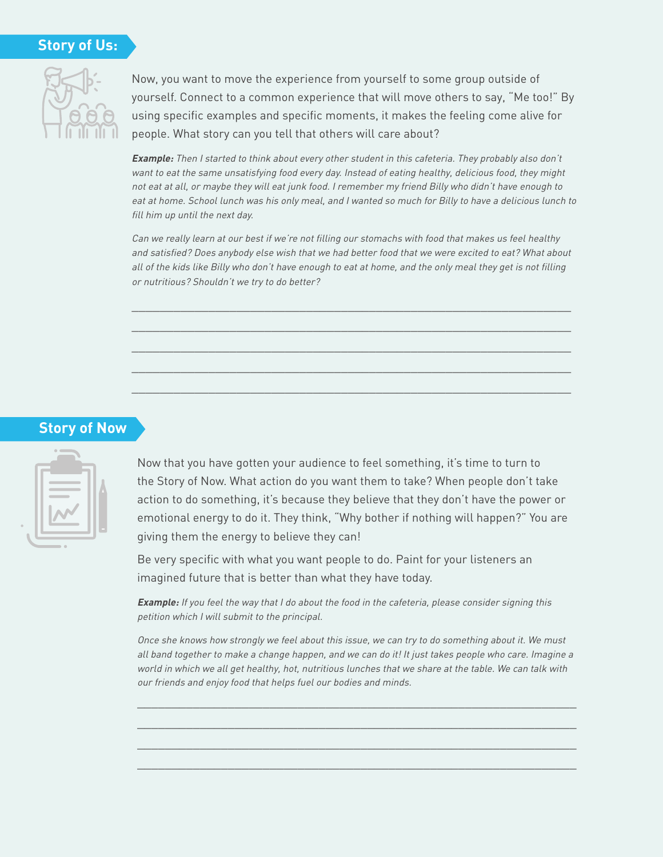#### **Story of Us:**



Now, you want to move the experience from yourself to some group outside of yourself. Connect to a common experience that will move others to say, "Me too!" By using specific examples and specific moments, it makes the feeling come alive for people. What story can you tell that others will care about?

**Example:** Then I started to think about every other student in this cafeteria. They probably also don't want to eat the same unsatisfying food every day. Instead of eating healthy, delicious food, they might not eat at all, or maybe they will eat junk food. I remember my friend Billy who didn't have enough to eat at home. School lunch was his only meal, and I wanted so much for Billy to have a delicious lunch to fill him up until the next day.

Can we really learn at our best if we're not filling our stomachs with food that makes us feel healthy and satisfied? Does anybody else wish that we had better food that we were excited to eat? What about all of the kids like Billy who don't have enough to eat at home, and the only meal they get is not filling or nutritious? Shouldn't we try to do better?

\_\_\_\_\_\_\_\_\_\_\_\_\_\_\_\_\_\_\_\_\_\_\_\_\_\_\_\_\_\_\_\_\_\_\_\_\_\_\_\_\_\_\_\_\_\_\_\_\_\_\_\_\_\_\_\_\_\_\_\_\_\_\_  $\_$  , and the set of the set of the set of the set of the set of the set of the set of the set of the set of the set of the set of the set of the set of the set of the set of the set of the set of the set of the set of th \_\_\_\_\_\_\_\_\_\_\_\_\_\_\_\_\_\_\_\_\_\_\_\_\_\_\_\_\_\_\_\_\_\_\_\_\_\_\_\_\_\_\_\_\_\_\_\_\_\_\_\_\_\_\_\_\_\_\_\_\_\_\_  $\_$  , and the set of the set of the set of the set of the set of the set of the set of the set of the set of the set of the set of the set of the set of the set of the set of the set of the set of the set of the set of th  $\_$  , and the set of the set of the set of the set of the set of the set of the set of the set of the set of the set of the set of the set of the set of the set of the set of the set of the set of the set of the set of th

### **Story of Now**



Now that you have gotten your audience to feel something, it's time to turn to the Story of Now. What action do you want them to take? When people don't take action to do something, it's because they believe that they don't have the power or emotional energy to do it. They think, "Why bother if nothing will happen?" You are giving them the energy to believe they can!

Be very specific with what you want people to do. Paint for your listeners an imagined future that is better than what they have today.

**Example:** If you feel the way that I do about the food in the cafeteria, please consider signing this petition which I will submit to the principal.

Once she knows how strongly we feel about this issue, we can try to do something about it. We must all band together to make a change happen, and we can do it! It just takes people who care. Imagine a world in which we all get healthy, hot, nutritious lunches that we share at the table. We can talk with our friends and enjoy food that helps fuel our bodies and minds.

\_\_\_\_\_\_\_\_\_\_\_\_\_\_\_\_\_\_\_\_\_\_\_\_\_\_\_\_\_\_\_\_\_\_\_\_\_\_\_\_\_\_\_\_\_\_\_\_\_\_\_\_\_\_\_\_\_\_\_\_\_\_\_ \_\_\_\_\_\_\_\_\_\_\_\_\_\_\_\_\_\_\_\_\_\_\_\_\_\_\_\_\_\_\_\_\_\_\_\_\_\_\_\_\_\_\_\_\_\_\_\_\_\_\_\_\_\_\_\_\_\_\_\_\_\_\_  $\_$  , and the set of the set of the set of the set of the set of the set of the set of the set of the set of the set of the set of the set of the set of the set of the set of the set of the set of the set of the set of th \_\_\_\_\_\_\_\_\_\_\_\_\_\_\_\_\_\_\_\_\_\_\_\_\_\_\_\_\_\_\_\_\_\_\_\_\_\_\_\_\_\_\_\_\_\_\_\_\_\_\_\_\_\_\_\_\_\_\_\_\_\_\_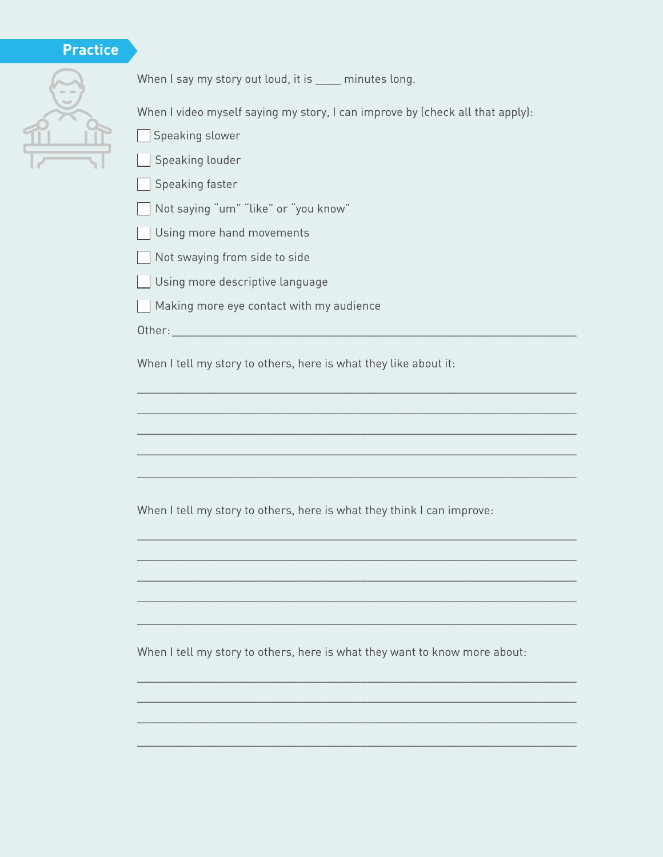# **Practice**



When I say my story out loud, it is \_\_\_\_ minutes long.

When I video myself saying my story, I can improve by (check all that apply):

- Speaking slower
- $\sqrt{ }$  Speaking louder
- Speaking faster
- Not saying "um" "like" or "you know"
- Using more hand movements
- $\Box$  Not swaying from side to side
- $\Box$  Using more descriptive language
- $\Box$  Making more eye contact with my audience

Other:\_\_\_\_\_\_\_\_\_\_\_\_\_\_\_\_\_\_\_\_\_\_\_\_\_\_\_\_\_\_\_\_\_\_\_\_\_\_\_\_\_\_\_\_\_\_\_\_\_\_\_\_\_\_\_\_\_\_

When I tell my story to others, here is what they like about it:

\_\_\_\_\_\_\_\_\_\_\_\_\_\_\_\_\_\_\_\_\_\_\_\_\_\_\_\_\_\_\_\_\_\_\_\_\_\_\_\_\_\_\_\_\_\_\_\_\_\_\_\_\_\_\_\_\_\_\_\_\_\_\_  $\_$  , and the set of the set of the set of the set of the set of the set of the set of the set of the set of the set of the set of the set of the set of the set of the set of the set of the set of the set of the set of th \_\_\_\_\_\_\_\_\_\_\_\_\_\_\_\_\_\_\_\_\_\_\_\_\_\_\_\_\_\_\_\_\_\_\_\_\_\_\_\_\_\_\_\_\_\_\_\_\_\_\_\_\_\_\_\_\_\_\_\_\_\_\_  $\_$  , and the set of the set of the set of the set of the set of the set of the set of the set of the set of the set of the set of the set of the set of the set of the set of the set of the set of the set of the set of th

 $\_$  , and the set of the set of the set of the set of the set of the set of the set of the set of the set of the set of the set of the set of the set of the set of the set of the set of the set of the set of the set of th

\_\_\_\_\_\_\_\_\_\_\_\_\_\_\_\_\_\_\_\_\_\_\_\_\_\_\_\_\_\_\_\_\_\_\_\_\_\_\_\_\_\_\_\_\_\_\_\_\_\_\_\_\_\_\_\_\_\_\_\_\_\_\_  $\_$  , and the set of the set of the set of the set of the set of the set of the set of the set of the set of the set of the set of the set of the set of the set of the set of the set of the set of the set of the set of th \_\_\_\_\_\_\_\_\_\_\_\_\_\_\_\_\_\_\_\_\_\_\_\_\_\_\_\_\_\_\_\_\_\_\_\_\_\_\_\_\_\_\_\_\_\_\_\_\_\_\_\_\_\_\_\_\_\_\_\_\_\_\_  $\_$  , and the set of the set of the set of the set of the set of the set of the set of the set of the set of the set of the set of the set of the set of the set of the set of the set of the set of the set of the set of th

 $\_$  , and the set of the set of the set of the set of the set of the set of the set of the set of the set of the set of the set of the set of the set of the set of the set of the set of the set of the set of the set of th

\_\_\_\_\_\_\_\_\_\_\_\_\_\_\_\_\_\_\_\_\_\_\_\_\_\_\_\_\_\_\_\_\_\_\_\_\_\_\_\_\_\_\_\_\_\_\_\_\_\_\_\_\_\_\_\_\_\_\_\_\_\_\_  $\_$  , and the set of the set of the set of the set of the set of the set of the set of the set of the set of the set of the set of the set of the set of the set of the set of the set of the set of the set of the set of th  $\_$  , and the set of the set of the set of the set of the set of the set of the set of the set of the set of the set of the set of the set of the set of the set of the set of the set of the set of the set of the set of th

\_\_\_\_\_\_\_\_\_\_\_\_\_\_\_\_\_\_\_\_\_\_\_\_\_\_\_\_\_\_\_\_\_\_\_\_\_\_\_\_\_\_\_\_\_\_\_\_\_\_\_\_\_\_\_\_\_\_\_\_\_\_\_

When I tell my story to others, here is what they think I can improve:

When I tell my story to others, here is what they want to know more about: